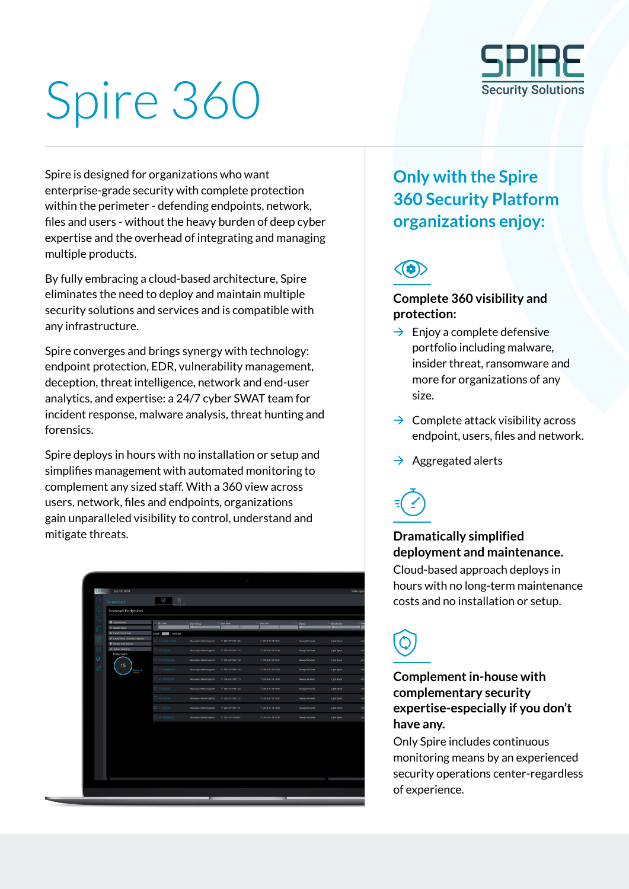# Spire 360



Spire is designed for organizations who want enterprise-grade security with complete protection within the perimeter - defending endpoints, network, files and users - without the heavy burden of deep cyber expertise and the overhead of integrating and managing multiple products.

By fully embracing a cloud-based architecture, Spire eliminates the need to deploy and maintain multiple security solutions and services and is compatible with any infrastructure.

Spire converges and brings synergy with technology: endpoint protection, EDR, vulnerability management, deception, threat intelligence, network and end-user analytics, and expertise: a 24/7 cyber SWAT team for incident response, malware analysis, threat hunting and forensics.

Spire deploys in hours with no installation or setup and simplifies management with automated monitoring to complement any sized staff. With a 360 view across users, network, files and endpoints, organizations gain unparalleled visibility to control, understand and mitigate threats.

| <b>CEPAN</b><br><b>Scanned Endpoints</b><br>Stop Scanner<br><b>Scan Start</b><br>ti Scan End<br><b>P/Host</b><br>fil Scan Group<br>ti Status<br>m<br>×<br>m<br>日期<br>C Restart Scans<br><b>Q</b> Export Scan-Emons<br>Load: $25 -$<br>entities<br><b>B</b> Export Never Scanned Endpoints<br><b>U</b> P<br>Manually Installed Agents<br>PL2018-07-18 11:36<br>12018-07-18 13:01<br>AlwaysOn Mode<br><b>Disable Auto Refresh</b><br>C Reload Table Data<br>$\Box$<br>×<br>8.2018-07-18 13:04<br>Manually Installed Agents<br>10 2018-07-18 11:55<br>AlwaysOn Mode<br><b>Today Scans</b><br>$\Theta$<br>$\Box$<br>3.2015-07-18 11:34<br>1.201507-18 13:02<br>Manually Installed Agents<br>AlwaysOn Mode<br>15<br>00<br>Manually Installed Agents<br>1.2010/07/18 11:34<br>$+201867-181266$<br>AlwaysOn Mode<br>Scanned 14<br>Fallweit<br>$\Box$<br>Manually Installed Agents<br>1.2010/07/18 11:33<br>$201867-181320$<br>Always0n Mode<br>$\Box$<br>Manually installed Agents<br>PL2018-07-18 11:32<br>-201807-181302<br>Alwayson Mode<br>0 <sub>0</sub><br>Manually installed ngents<br>R 2018 07:18 11:32<br>1201807-181302<br>AlwaysOn Mode | Notebution<br><b>Light Agent</b><br>$\Box$<br>Manually installed Agents<br>8 2018 07:18 11:31<br>201807-181303<br>AlwaysOn Mode<br>$\Box$<br>Manually Installed Agents<br>10.2018-07-18 09:07<br>12018-07-18 13:03<br>AlwaysOn Mode | SPPE<br>July 18, 16:04 |                |  |  |             |
|----------------------------------------------------------------------------------------------------------------------------------------------------------------------------------------------------------------------------------------------------------------------------------------------------------------------------------------------------------------------------------------------------------------------------------------------------------------------------------------------------------------------------------------------------------------------------------------------------------------------------------------------------------------------------------------------------------------------------------------------------------------------------------------------------------------------------------------------------------------------------------------------------------------------------------------------------------------------------------------------------------------------------------------------------------------------------------------------------------------------------------------------|-------------------------------------------------------------------------------------------------------------------------------------------------------------------------------------------------------------------------------------|------------------------|----------------|--|--|-------------|
|                                                                                                                                                                                                                                                                                                                                                                                                                                                                                                                                                                                                                                                                                                                                                                                                                                                                                                                                                                                                                                                                                                                                              |                                                                                                                                                                                                                                     | Scanner                | $\mathfrak{P}$ |  |  |             |
|                                                                                                                                                                                                                                                                                                                                                                                                                                                                                                                                                                                                                                                                                                                                                                                                                                                                                                                                                                                                                                                                                                                                              |                                                                                                                                                                                                                                     |                        |                |  |  |             |
|                                                                                                                                                                                                                                                                                                                                                                                                                                                                                                                                                                                                                                                                                                                                                                                                                                                                                                                                                                                                                                                                                                                                              |                                                                                                                                                                                                                                     |                        |                |  |  |             |
|                                                                                                                                                                                                                                                                                                                                                                                                                                                                                                                                                                                                                                                                                                                                                                                                                                                                                                                                                                                                                                                                                                                                              |                                                                                                                                                                                                                                     |                        |                |  |  |             |
|                                                                                                                                                                                                                                                                                                                                                                                                                                                                                                                                                                                                                                                                                                                                                                                                                                                                                                                                                                                                                                                                                                                                              |                                                                                                                                                                                                                                     |                        |                |  |  |             |
|                                                                                                                                                                                                                                                                                                                                                                                                                                                                                                                                                                                                                                                                                                                                                                                                                                                                                                                                                                                                                                                                                                                                              | Light Agent                                                                                                                                                                                                                         |                        |                |  |  | Light Agent |
|                                                                                                                                                                                                                                                                                                                                                                                                                                                                                                                                                                                                                                                                                                                                                                                                                                                                                                                                                                                                                                                                                                                                              |                                                                                                                                                                                                                                     |                        |                |  |  |             |
|                                                                                                                                                                                                                                                                                                                                                                                                                                                                                                                                                                                                                                                                                                                                                                                                                                                                                                                                                                                                                                                                                                                                              |                                                                                                                                                                                                                                     |                        |                |  |  | Light Agent |
|                                                                                                                                                                                                                                                                                                                                                                                                                                                                                                                                                                                                                                                                                                                                                                                                                                                                                                                                                                                                                                                                                                                                              |                                                                                                                                                                                                                                     |                        |                |  |  | Light Agent |
|                                                                                                                                                                                                                                                                                                                                                                                                                                                                                                                                                                                                                                                                                                                                                                                                                                                                                                                                                                                                                                                                                                                                              | Ught Agent<br><b>Upht Agent</b><br>Light Agent                                                                                                                                                                                      |                        |                |  |  | Light Agent |
|                                                                                                                                                                                                                                                                                                                                                                                                                                                                                                                                                                                                                                                                                                                                                                                                                                                                                                                                                                                                                                                                                                                                              |                                                                                                                                                                                                                                     |                        |                |  |  |             |
|                                                                                                                                                                                                                                                                                                                                                                                                                                                                                                                                                                                                                                                                                                                                                                                                                                                                                                                                                                                                                                                                                                                                              |                                                                                                                                                                                                                                     |                        |                |  |  |             |
|                                                                                                                                                                                                                                                                                                                                                                                                                                                                                                                                                                                                                                                                                                                                                                                                                                                                                                                                                                                                                                                                                                                                              |                                                                                                                                                                                                                                     |                        |                |  |  |             |
|                                                                                                                                                                                                                                                                                                                                                                                                                                                                                                                                                                                                                                                                                                                                                                                                                                                                                                                                                                                                                                                                                                                                              |                                                                                                                                                                                                                                     |                        |                |  |  |             |
|                                                                                                                                                                                                                                                                                                                                                                                                                                                                                                                                                                                                                                                                                                                                                                                                                                                                                                                                                                                                                                                                                                                                              |                                                                                                                                                                                                                                     |                        |                |  |  |             |
|                                                                                                                                                                                                                                                                                                                                                                                                                                                                                                                                                                                                                                                                                                                                                                                                                                                                                                                                                                                                                                                                                                                                              |                                                                                                                                                                                                                                     |                        |                |  |  |             |
|                                                                                                                                                                                                                                                                                                                                                                                                                                                                                                                                                                                                                                                                                                                                                                                                                                                                                                                                                                                                                                                                                                                                              |                                                                                                                                                                                                                                     |                        |                |  |  |             |
|                                                                                                                                                                                                                                                                                                                                                                                                                                                                                                                                                                                                                                                                                                                                                                                                                                                                                                                                                                                                                                                                                                                                              |                                                                                                                                                                                                                                     |                        |                |  |  |             |
|                                                                                                                                                                                                                                                                                                                                                                                                                                                                                                                                                                                                                                                                                                                                                                                                                                                                                                                                                                                                                                                                                                                                              |                                                                                                                                                                                                                                     |                        |                |  |  |             |

### **Only** with the Spire  **360 Security Platform organizations** enjoy:



#### **Complete 360 visibility and :protection**

- $\rightarrow$  Enjoy a complete defensive portfolio including malware, insider threat, ransomware and more for organizations of any size.
- $\rightarrow$  Complete attack visibility across endpoint, users, files and network.
- $\rightarrow$  Aggregated alerts

### **Dramatically simplified** deployment and maintenance.

Cloud-based approach deploys in hours with no long-term maintenance costs and no installation or setup.

#### **Complement in-house with complementary** security **expertise-especially if you don't** have any.

Only Spire includes continuous monitoring means by an experienced security operations center-regardless of experience.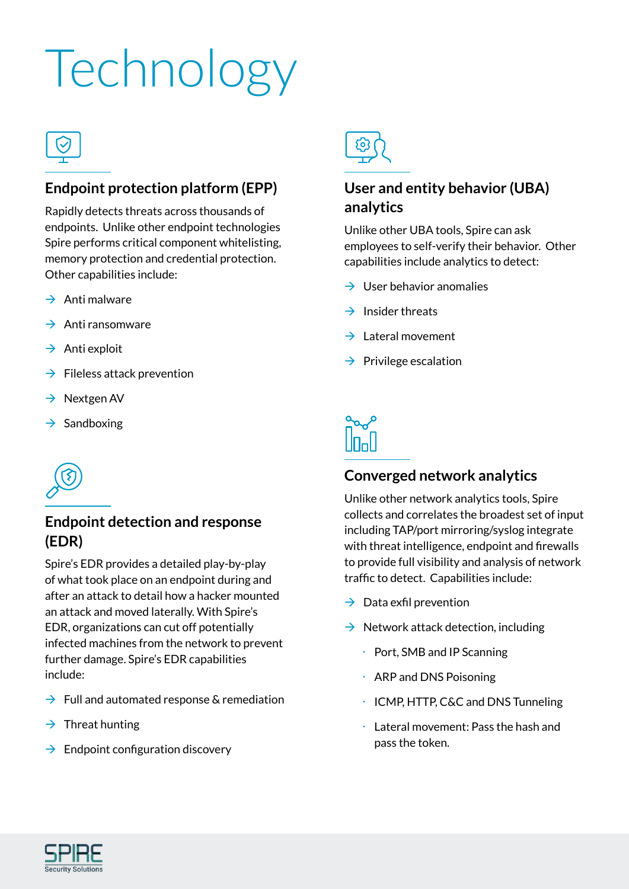## Technology



### **Endpoint protection platform (EPP)**

Rapidly detects threats across thousands of endpoints. Unlike other endpoint technologies Spire performs critical component whitelisting, memory protection and credential protection. Other capabilities include:

- $\rightarrow$  Anti malware
- $\rightarrow$  Anti ransomware
- $\rightarrow$  Anti exploit
- $\rightarrow$  Fileless attack prevention
- $\rightarrow$  Nextgen AV
- $\rightarrow$  Sandboxing



### **Endpoint detection and response (EDR(**

Spire's EDR provides a detailed play-by-play of what took place on an endpoint during and after an attack to detail how a hacker mounted an attack and moved laterally. With Spire's EDR, organizations can cut off potentially infected machines from the network to prevent further damage. Spire's EDR capabilities include:

- $\rightarrow$  Full and automated response & remediation
- $\rightarrow$  Threat hunting
- $\rightarrow$  Endpoint configuration discovery



### **User and entity behavior (UBA) analytics**

Unlike other UBA tools, Spire can ask employees to self-verify their behavior. Other capabilities include analytics to detect:

- $\rightarrow$  User behavior anomalies
- $\rightarrow$  Insider threats
- $\rightarrow$  Lateral movement
- $\rightarrow$  Privilege escalation



### **Converged network analytics**

Unlike other network analytics tools, Spire collects and correlates the broadest set of input including TAP/port mirroring/syslog integrate with threat intelligence, endpoint and firewalls to provide full visibility and analysis of network traffic to detect. Capabilities include:

- $\rightarrow$  Data exfil prevention
- $\rightarrow$  Network attack detection, including
	- $\cdot$  Port, SMB and IP Scanning
	- $\cdot$  ARP and DNS Poisoning
	- $\cdot$  ICMP, HTTP, C&C and DNS Tunneling
	- $\cdot$  Lateral movement: Pass the hash and pass the token.

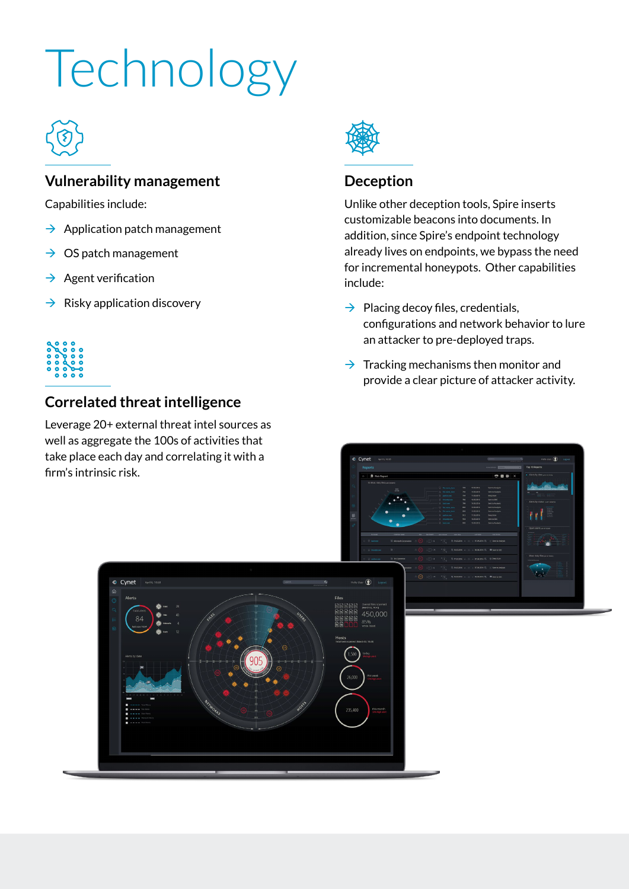## Technology



### **Vulnerability management**

Capabilities include:

- $\rightarrow$  Application patch management
- $\rightarrow$  OS patch management
- $\rightarrow$  Agent verification
- $\rightarrow$  Risky application discovery



### **Correlated threat intelligence**

Leverage  $20+$  external threat intel sources as well as aggregate the 100s of activities that take place each day and correlating it with a firm's intrinsic risk.



### **Deception**

Unlike other deception tools, Spire inserts customizable beacons into documents. In addition, since Spire's endpoint technology already lives on endpoints, we bypass the need for incremental honeypots. Other capabilities include:

- $\rightarrow$  Placing decoy files, credentials. configurations and network behavior to lure an attacker to pre-deployed traps.
- $\rightarrow$  Tracking mechanisms then monitor and provide a clear picture of attacker activity.